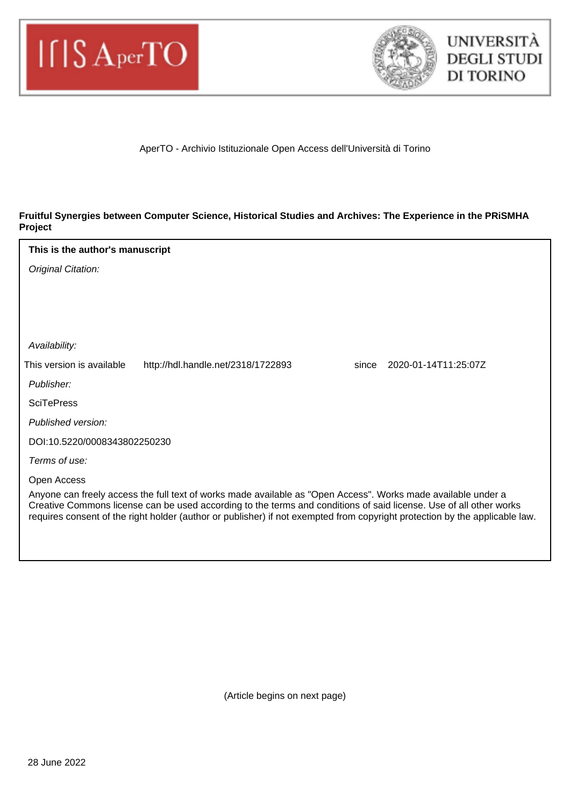



#### AperTO - Archivio Istituzionale Open Access dell'Università di Torino

#### **Fruitful Synergies between Computer Science, Historical Studies and Archives: The Experience in the PRiSMHA Project**

# Original Citation: Publisher: Published version: DOI:10.5220/0008343802250230 Terms of use: Open Access Anyone can freely access the full text of works made available as "Open Access". Works made available under a Creative Commons license can be used according to the terms and conditions of said license. Use of all other works requires consent of the right holder (author or publisher) if not exempted from copyright protection by the applicable law. Availability: **SciTePress This is the author's manuscript** This version is available http://hdl.handle.net/2318/1722893 since 2020-01-14T11:25:07Z

(Article begins on next page)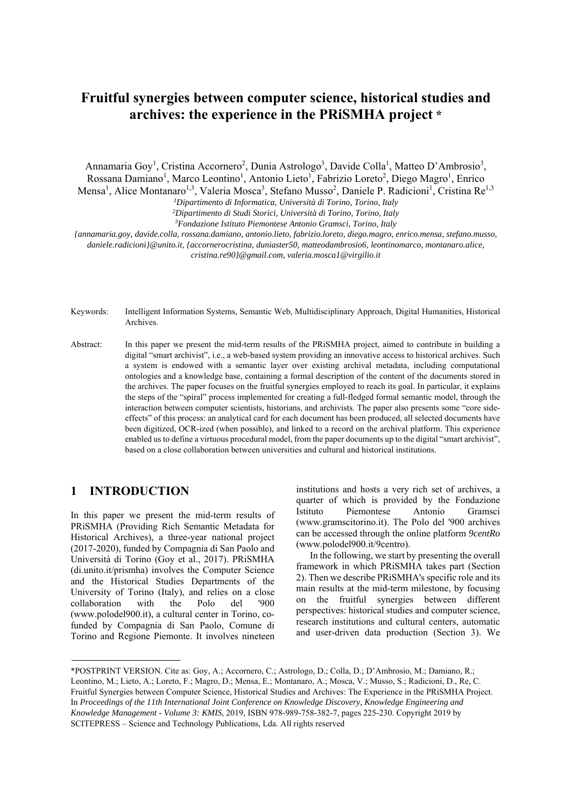# **Fruitful synergies between computer science, historical studies and archives: the experience in the PRiSMHA project \***

Annamaria Goy<sup>1</sup>, Cristina Accornero<sup>2</sup>, Dunia Astrologo<sup>3</sup>, Davide Colla<sup>1</sup>, Matteo D'Ambrosio<sup>3</sup>, Rossana Damiano<sup>1</sup>, Marco Leontino<sup>1</sup>, Antonio Lieto<sup>1</sup>, Fabrizio Loreto<sup>2</sup>, Diego Magro<sup>1</sup>, Enrico Mensa<sup>1</sup>, Alice Montanaro<sup>1,3</sup>, Valeria Mosca<sup>3</sup>, Stefano Musso<sup>2</sup>, Daniele P. Radicioni<sup>1</sup>, Cristina Re<sup>1,3</sup>

*1Dipartimento di Informatica, Università di Torino, Torino, Italy* 

*2Dipartimento di Studi Storici, Università di Torino, Torino, Italy 3Fondazione Istituto Piemontese Antonio Gramsci, Torino, Italy* 

*{annamaria.goy, davide.colla, rossana.damiano, antonio.lieto, fabrizio.loreto, diego.magro, enrico.mensa, stefano.musso, daniele.radicioni}@unito.it, {accornerocristina, duniaster50, matteodambrosio6, leontinomarco, montanaro.alice, cristina.re90}@gmail.com, valeria.mosca1@virgilio.it* 

Keywords: Intelligent Information Systems, Semantic Web, Multidisciplinary Approach, Digital Humanities, Historical Archives.

Abstract: In this paper we present the mid-term results of the PRiSMHA project, aimed to contribute in building a digital "smart archivist", i.e., a web-based system providing an innovative access to historical archives. Such a system is endowed with a semantic layer over existing archival metadata, including computational ontologies and a knowledge base, containing a formal description of the content of the documents stored in the archives. The paper focuses on the fruitful synergies employed to reach its goal. In particular, it explains the steps of the "spiral" process implemented for creating a full-fledged formal semantic model, through the interaction between computer scientists, historians, and archivists. The paper also presents some "core sideeffects" of this process: an analytical card for each document has been produced, all selected documents have been digitized, OCR-ized (when possible), and linked to a record on the archival platform. This experience enabled us to define a virtuous procedural model, from the paper documents up to the digital "smart archivist", based on a close collaboration between universities and cultural and historical institutions.

#### **1 INTRODUCTION**

In this paper we present the mid-term results of PRiSMHA (Providing Rich Semantic Metadata for Historical Archives), a three-year national project (2017-2020), funded by Compagnia di San Paolo and Università di Torino (Goy et al., 2017). PRiSMHA (di.unito.it/prismha) involves the Computer Science and the Historical Studies Departments of the University of Torino (Italy), and relies on a close collaboration with the Polo del '900 (www.polodel900.it), a cultural center in Torino, cofunded by Compagnia di San Paolo, Comune di Torino and Regione Piemonte. It involves nineteen

institutions and hosts a very rich set of archives, a quarter of which is provided by the Fondazione Istituto Piemontese Antonio Gramsci (www.gramscitorino.it). The Polo del '900 archives can be accessed through the online platform *9centRo* (www.polodel900.it/9centro).

In the following, we start by presenting the overall framework in which PRiSMHA takes part (Section 2). Then we describe PRiSMHA's specific role and its main results at the mid-term milestone, by focusing on the fruitful synergies between different perspectives: historical studies and computer science, research institutions and cultural centers, automatic and user-driven data production (Section 3). We

<sup>\*</sup>POSTPRINT VERSION. Cite as: Goy, A.; Accornero, C.; Astrologo, D.; Colla, D.; D'Ambrosio, M.; Damiano, R.; Leontino, M.; Lieto, A.; Loreto, F.; Magro, D.; Mensa, E.; Montanaro, A.; Mosca, V.; Musso, S.; Radicioni, D., Re, C. Fruitful Synergies between Computer Science, Historical Studies and Archives: The Experience in the PRiSMHA Project. In *Proceedings of the 11th International Joint Conference on Knowledge Discovery, Knowledge Engineering and Knowledge Management - Volume 3: KMIS*, 2019, ISBN 978-989-758-382-7, pages 225-230. Copyright 2019 by SCITEPRESS – Science and Technology Publications, Lda. All rights reserved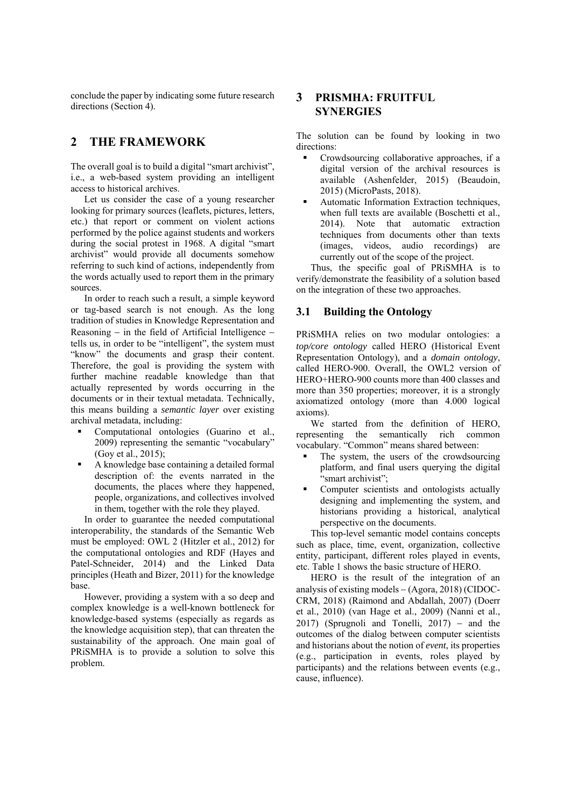conclude the paper by indicating some future research directions (Section 4).

### **2 THE FRAMEWORK**

The overall goal is to build a digital "smart archivist", i.e., a web-based system providing an intelligent access to historical archives.

Let us consider the case of a young researcher looking for primary sources (leaflets, pictures, letters, etc.) that report or comment on violent actions performed by the police against students and workers during the social protest in 1968. A digital "smart archivist" would provide all documents somehow referring to such kind of actions, independently from the words actually used to report them in the primary sources.

In order to reach such a result, a simple keyword or tag-based search is not enough. As the long tradition of studies in Knowledge Representation and Reasoning  $-$  in the field of Artificial Intelligence  $$ tells us, in order to be "intelligent", the system must "know" the documents and grasp their content. Therefore, the goal is providing the system with further machine readable knowledge than that actually represented by words occurring in the documents or in their textual metadata. Technically, this means building a *semantic layer* over existing archival metadata, including:

- Computational ontologies (Guarino et al., 2009) representing the semantic "vocabulary" (Goy et al., 2015);
- A knowledge base containing a detailed formal description of: the events narrated in the documents, the places where they happened, people, organizations, and collectives involved in them, together with the role they played.

In order to guarantee the needed computational interoperability, the standards of the Semantic Web must be employed: OWL 2 (Hitzler et al., 2012) for the computational ontologies and RDF (Hayes and Patel-Schneider, 2014) and the Linked Data principles (Heath and Bizer, 2011) for the knowledge base.

However, providing a system with a so deep and complex knowledge is a well-known bottleneck for knowledge-based systems (especially as regards as the knowledge acquisition step), that can threaten the sustainability of the approach. One main goal of PRiSMHA is to provide a solution to solve this problem.

#### **3 PRISMHA: FRUITFUL SYNERGIES**

The solution can be found by looking in two directions:

- Crowdsourcing collaborative approaches, if a digital version of the archival resources is available (Ashenfelder, 2015) (Beaudoin, 2015) (MicroPasts, 2018).
- Automatic Information Extraction techniques, when full texts are available (Boschetti et al., 2014). Note that automatic extraction techniques from documents other than texts (images, videos, audio recordings) are currently out of the scope of the project.

Thus, the specific goal of PRiSMHA is to verify/demonstrate the feasibility of a solution based on the integration of these two approaches.

#### **3.1 Building the Ontology**

PRiSMHA relies on two modular ontologies: a top/core ontology called HERO (Historical Event Representation Ontology), and a *domain ontology*, called HERO-900. Overall, the OWL2 version of HERO+HERO-900 counts more than 400 classes and more than 350 properties; moreover, it is a strongly axiomatized ontology (more than 4.000 logical axioms).

We started from the definition of HERO, representing the semantically rich common vocabulary. "Common" means shared between:

- The system, the users of the crowdsourcing platform, and final users querying the digital "smart archivist":
- Computer scientists and ontologists actually designing and implementing the system, and historians providing a historical, analytical perspective on the documents.

This top-level semantic model contains concepts such as place, time, event, organization, collective entity, participant, different roles played in events, etc. Table 1 shows the basic structure of HERO.

HERO is the result of the integration of an analysis of existing models  $-$  (Agora, 2018) (CIDOC-CRM, 2018) (Raimond and Abdallah, 2007) (Doerr et al., 2010) (van Hage et al., 2009) (Nanni et al., 2017) (Sprugnoli and Tonelli,  $2017$ ) - and the outcomes of the dialog between computer scientists and historians about the notion of *event*, its properties (e.g., participation in events, roles played by participants) and the relations between events (e.g., cause, influence).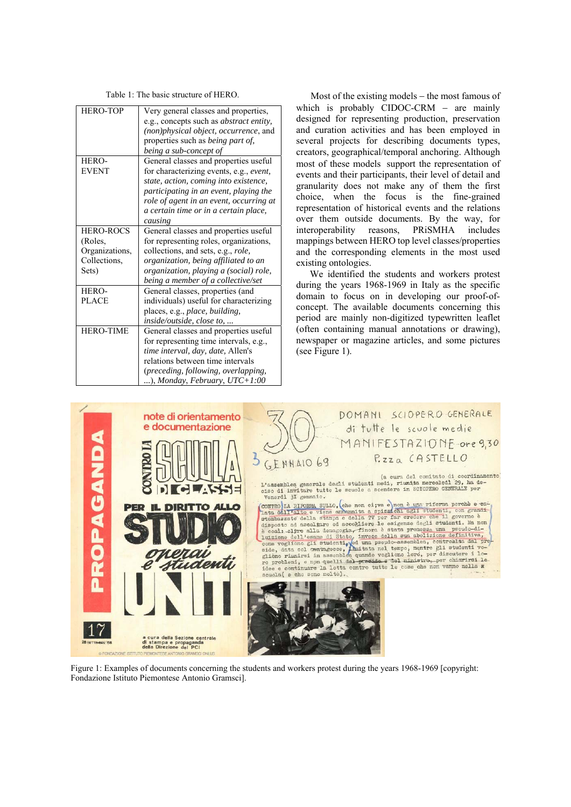|  |  |  |  | Table 1: The basic structure of HERO. |
|--|--|--|--|---------------------------------------|
|--|--|--|--|---------------------------------------|

| <b>HERO-TOP</b>  | Very general classes and properties,            |  |  |  |
|------------------|-------------------------------------------------|--|--|--|
|                  | e.g., concepts such as <i>abstract entity</i> , |  |  |  |
|                  | (non)physical object, occurrence, and           |  |  |  |
|                  | properties such as <i>being part of</i> ,       |  |  |  |
|                  | being a sub-concept of                          |  |  |  |
| HERO-            | General classes and properties useful           |  |  |  |
| <b>EVENT</b>     | for characterizing events, e.g., event,         |  |  |  |
|                  | state, action, coming into existence,           |  |  |  |
|                  | participating in an event, playing the          |  |  |  |
|                  | role of agent in an event, occurring at         |  |  |  |
|                  | a certain time or in a certain place,           |  |  |  |
|                  | causing                                         |  |  |  |
| <b>HERO-ROCS</b> | General classes and properties useful           |  |  |  |
| (Roles,          | for representing roles, organizations,          |  |  |  |
| Organizations,   | collections, and sets, e.g., role,              |  |  |  |
| Collections.     | organization, being affiliated to an            |  |  |  |
| Sets)            | organization, playing a (social) role,          |  |  |  |
|                  | being a member of a collective/set              |  |  |  |
| HERO-            | General classes, properties (and                |  |  |  |
| <b>PLACE</b>     | individuals) useful for characterizing          |  |  |  |
|                  | places, e.g., place, building,                  |  |  |  |
|                  | inside/outside, close to,                       |  |  |  |
| <b>HERO-TIME</b> | General classes and properties useful           |  |  |  |
|                  | for representing time intervals, e.g.,          |  |  |  |
|                  | time interval, day, date, Allen's               |  |  |  |
|                  | relations between time intervals                |  |  |  |
|                  | (preceding, following, overlapping,             |  |  |  |
|                  | ), Monday, February, UTC+1:00                   |  |  |  |

Most of the existing models  $-$  the most famous of which is probably CIDOC-CRM  $-$  are mainly designed for representing production, preservation and curation activities and has been employed in several projects for describing documents types, creators, geographical/temporal anchoring. Although most of these models support the representation of events and their participants, their level of detail and granularity does not make any of them the first choice, when the focus is the fine-grained representation of historical events and the relations over them outside documents. By the way, for interoperability reasons, PRiSMHA includes mappings between HERO top level classes/properties and the corresponding elements in the most used existing ontologies.

We identified the students and workers protest during the years 1968-1969 in Italy as the specific domain to focus on in developing our proof-ofconcept. The available documents concerning this period are mainly non-digitized typewritten leaflet (often containing manual annotations or drawing), newspaper or magazine articles, and some pictures (see Figure 1).



Figure 1: Examples of documents concerning the students and workers protest during the years 1968-1969 [copyright: Fondazione Istituto Piemontese Antonio Gramsci].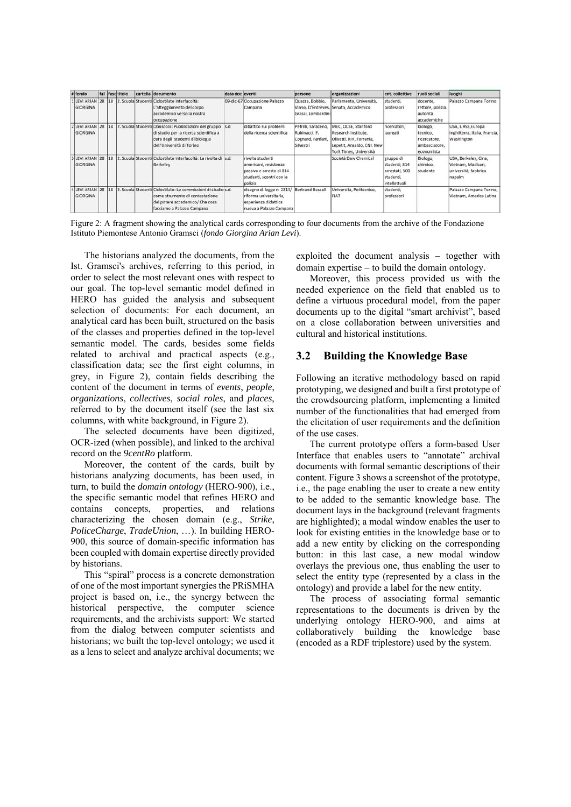| # fondo                     |    | fal fasc titolo | cartella documento                                                                                                                                              | data doc eventi |                                                                                                                         | persone                                                                | organizzazioni                                                                                                                 | ent. collettive                                                            | ruoli sociali                                                       | luoghi                                                                      |
|-----------------------------|----|-----------------|-----------------------------------------------------------------------------------------------------------------------------------------------------------------|-----------------|-------------------------------------------------------------------------------------------------------------------------|------------------------------------------------------------------------|--------------------------------------------------------------------------------------------------------------------------------|----------------------------------------------------------------------------|---------------------------------------------------------------------|-----------------------------------------------------------------------------|
| 1 LEVI ARIAN 28<br>GIORGINA | 18 |                 | 2. Scuola Studenti Ciclostilato Interfacoltà:<br>L'atteggiamento del corpo<br>accademico verso la nostra<br>occupazione                                         |                 | 09-dic-67 Occupazione Palazzo<br>Campana                                                                                | Quazza, Bobbio,<br>Grassi, Lombardini                                  | Parlamento, Università,<br>Viano, D'Entrèves, Senato, Accademico                                                               | studenti,<br>professori                                                    | docente,<br>rettore, polizia,<br>autorità<br>accademiche            | Palazzo Campana Torino                                                      |
| 2 LEVI ARIAN 28<br>GIORGINA | 18 |                 | Scuola Studenti Opuscolo: Pubblicazioni del gruppo<br>di studio per la ricerca scientifica a<br>cura degli studenti di biologia<br>dell'Università di Torino    | s.d             | dibattito sui problemi<br>della ricerca scientifica                                                                     | Petrilli, Saraceno,<br>Rubinacci, P.<br>Cognard, Fanfani,<br>Silvestri | MEC, OCSE, Stanford<br>Research Institute.<br>Olivetti, RIV, Ferrania,<br>Lepetit, Ansaldo, ENI, New<br>York Times, Università | ricercatori,<br>llaureati                                                  | biologo,<br>tecnico,<br>ricercatore,<br>ambasciatore,<br>economista | USA, URSS, Europa<br>Inghilterra, Italia, Francia,<br>Washington            |
| 3 LEVI ARIAN 28<br>GIORGINA | 18 |                 | Scuola Studenti Ciclostilato Interfacoltà: La rivolta di s.d.<br>Berkeley                                                                                       |                 | rivolta studenti<br>americani, resistenza<br>passiva e arresto di 814<br>studenti, scontri con la<br>polizia            |                                                                        | Società Daw Chemical                                                                                                           | gruppo di<br>studenti, 814<br>arrestati, 500<br>studenti,<br>intellettuali | Biologo,<br>chimico.<br>studente                                    | USA, Berkeley, Cina,<br>Vietnam, Madison,<br>università, fabbrica<br>napalm |
| 4 LEVI ARIAN 28<br>GIORGINA | 18 |                 | Scuola Studenti Ciclostilato: Le commissioni di studio s.d.<br>come strumento di contestazione<br>del potere accademico/ Che cosa<br>facciamo a Palazzo Campana |                 | disegno di legge n. 2314/ Bertrand Russell<br>riforma universitaria.<br>esperienza didattica<br>nuova a Palazzo Campana |                                                                        | Università, Politecnico,<br>FIAT                                                                                               | studenti,<br>professori                                                    |                                                                     | Palazzo Campana Torino.<br>Vietnam, America Latina                          |

Figure 2: A fragment showing the analytical cards corresponding to four documents from the archive of the Fondazione Istituto Piemontese Antonio Gramsci (*fondo Giorgina Arian Levi*).

The historians analyzed the documents, from the Ist. Gramsci's archives, referring to this period, in order to select the most relevant ones with respect to our goal. The top-level semantic model defined in HERO has guided the analysis and subsequent selection of documents: For each document, an analytical card has been built, structured on the basis of the classes and properties defined in the top-level semantic model. The cards, besides some fields related to archival and practical aspects (e.g., classification data; see the first eight columns, in grey, in Figure 2), contain fields describing the content of the document in terms of *events*, *people*, *organizations*, *collectives*, *social roles*, and *places*, referred to by the document itself (see the last six columns, with white background, in Figure 2).

The selected documents have been digitized, OCR-ized (when possible), and linked to the archival record on the *9centRo* platform.

Moreover, the content of the cards, built by historians analyzing documents, has been used, in turn, to build the *domain ontology* (HERO-900), i.e., the specific semantic model that refines HERO and contains concepts, properties, and relations characterizing the chosen domain (e.g., *Strike*, *PoliceCharge*, *TradeUnion*, …). In building HERO-900, this source of domain-specific information has been coupled with domain expertise directly provided by historians.

This "spiral" process is a concrete demonstration of one of the most important synergies the PRiSMHA project is based on, i.e., the synergy between the historical perspective, the computer science requirements, and the archivists support: We started from the dialog between computer scientists and historians; we built the top-level ontology; we used it as a lens to select and analyze archival documents; we

exploited the document analysis  $-$  together with domain expertise  $-$  to build the domain ontology.

Moreover, this process provided us with the needed experience on the field that enabled us to define a virtuous procedural model, from the paper documents up to the digital "smart archivist", based on a close collaboration between universities and cultural and historical institutions.

#### **3.2 Building the Knowledge Base**

Following an iterative methodology based on rapid prototyping, we designed and built a first prototype of the crowdsourcing platform, implementing a limited number of the functionalities that had emerged from the elicitation of user requirements and the definition of the use cases.

The current prototype offers a form-based User Interface that enables users to "annotate" archival documents with formal semantic descriptions of their content. Figure 3 shows a screenshot of the prototype, i.e., the page enabling the user to create a new entity to be added to the semantic knowledge base. The document lays in the background (relevant fragments are highlighted); a modal window enables the user to look for existing entities in the knowledge base or to add a new entity by clicking on the corresponding button: in this last case, a new modal window overlays the previous one, thus enabling the user to select the entity type (represented by a class in the ontology) and provide a label for the new entity.

The process of associating formal semantic representations to the documents is driven by the underlying ontology HERO-900, and aims at collaboratively building the knowledge base (encoded as a RDF triplestore) used by the system.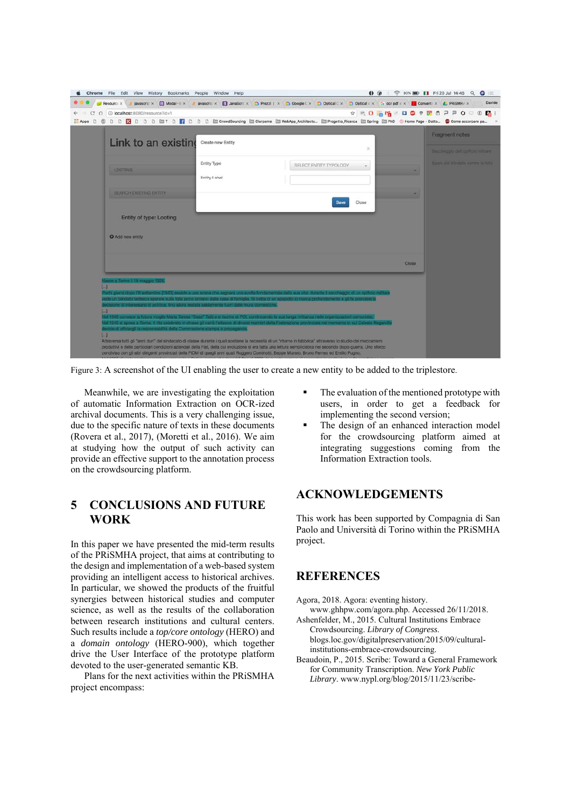| Resource X                                                                                         |                   | javascric x <b>El Modal</b> - Ex <b>a</b> javascric x <b>El JavaScric x C</b> Prezzi   x C Google C x C Optical C x C Optical c x G ocr pdf s x <mark>D</mark> Convert x L PRISMHJ x                                              | Davide                                                                  |
|----------------------------------------------------------------------------------------------------|-------------------|-----------------------------------------------------------------------------------------------------------------------------------------------------------------------------------------------------------------------------------|-------------------------------------------------------------------------|
| △ © localhost:8080/resource?id=1<br>C                                                              |                   |                                                                                                                                                                                                                                   | * 50 56 6 5 6 7 F 6 7 F 6 0 6 6 1                                       |
|                                                                                                    |                   |                                                                                                                                                                                                                                   |                                                                         |
| Link to an existing                                                                                | Create new Entity | $>\,$                                                                                                                                                                                                                             | Fragment notes                                                          |
|                                                                                                    | Entity Type       | SELECT ENTITY TYPOLOGY<br>$\sim$                                                                                                                                                                                                  | Saccheggio dell'opificio militare<br>Sparp del biasteto coraro la folia |
| <b>LOOTING</b>                                                                                     | Fntity Label      |                                                                                                                                                                                                                                   |                                                                         |
| <b>SEARCH EXISTING ENTITY</b>                                                                      |                   | Close<br>Save                                                                                                                                                                                                                     | ٠                                                                       |
| Entity of type: Looting                                                                            |                   |                                                                                                                                                                                                                                   |                                                                         |
| O Add new entity                                                                                   |                   |                                                                                                                                                                                                                                   |                                                                         |
|                                                                                                    |                   |                                                                                                                                                                                                                                   | <b>Close</b>                                                            |
| Vasce a Torino il 18 maggio 1926.                                                                  |                   |                                                                                                                                                                                                                                   |                                                                         |
|                                                                                                    |                   | Pochi giorni dopo l'8 settembre [1943] assiste a una scena che segnerà una svolta fondamentale della sua vita: durante il asccheggio di un opticio militare<br>vede un biindato tedesco sparare sulla folta poco lontaro dalla ca |                                                                         |
| lecisione di interessarsi di politica, fino allora restata saldamente fuori dalle mura domestiche. |                   | Nel 1948 conosce la futura moglie Maria Teresa "Sesa" Tatò e si iscrive al PCI, cominciando la sua lunga militanza nelle organizzazioni comuniste.                                                                                |                                                                         |
| $L_{\text{H}}$                                                                                     |                   |                                                                                                                                                                                                                                   |                                                                         |
| decide di affidargii la responsabilità della Commissione stampa e propaganda.<br>$L_{-1}$          |                   | Nel 1949 si sposa a Roma. Il rito celebrato in chiesa gli varrà l'attacco di diversi membri della Federazione provinciale nel momento in cui Celeste Negarville                                                                   |                                                                         |

Figure 3: A screenshot of the UI enabling the user to create a new entity to be added to the triplestore.

Meanwhile, we are investigating the exploitation of automatic Information Extraction on OCR-ized archival documents. This is a very challenging issue, due to the specific nature of texts in these documents (Rovera et al., 2017), (Moretti et al., 2016). We aim at studying how the output of such activity can provide an effective support to the annotation process on the crowdsourcing platform.

# **5 CONCLUSIONS AND FUTURE WORK**

In this paper we have presented the mid-term results of the PRiSMHA project, that aims at contributing to the design and implementation of a web-based system providing an intelligent access to historical archives. In particular, we showed the products of the fruitful synergies between historical studies and computer science, as well as the results of the collaboration between research institutions and cultural centers. Such results include a *top/core ontology* (HERO) and a *domain ontology* (HERO-900), which together drive the User Interface of the prototype platform devoted to the user-generated semantic KB.

Plans for the next activities within the PRiSMHA project encompass:

- The evaluation of the mentioned prototype with users, in order to get a feedback for implementing the second version;
- The design of an enhanced interaction model for the crowdsourcing platform aimed at integrating suggestions coming from the Information Extraction tools.

# **ACKNOWLEDGEMENTS**

This work has been supported by Compagnia di San Paolo and Università di Torino within the PRiSMHA project.

# **REFERENCES**

- Agora, 2018. Agora: eventing history.
- www.ghhpw.com/agora.php. Accessed 26/11/2018. Ashenfelder, M., 2015. Cultural Institutions Embrace
- Crowdsourcing. *Library of Congress*. blogs.loc.gov/digitalpreservation/2015/09/culturalinstitutions-embrace-crowdsourcing.
- Beaudoin, P., 2015. Scribe: Toward a General Framework for Community Transcription. *New York Public Library*. www.nypl.org/blog/2015/11/23/scribe-